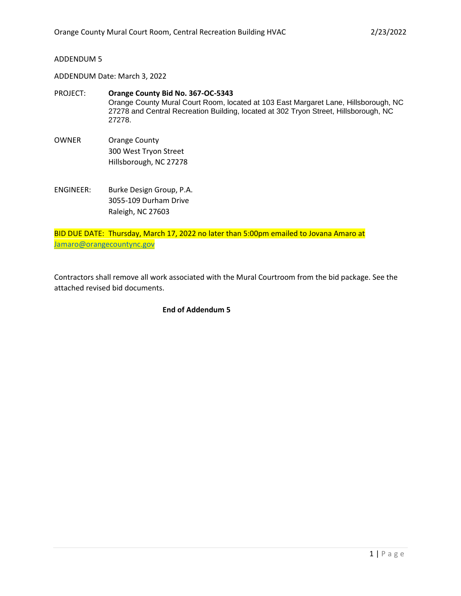## ADDENDUM 5

ADDENDUM Date: March 3, 2022

- PROJECT: **Orange County Bid No. 367-OC-5343** Orange County Mural Court Room, located at 103 East Margaret Lane, Hillsborough, NC 27278 and Central Recreation Building, located at 302 Tryon Street, Hillsborough, NC 27278.
- OWNER Orange County 300 West Tryon Street Hillsborough, NC 27278
- ENGINEER: Burke Design Group, P.A. 3055-109 Durham Drive Raleigh, NC 27603

BID DUE DATE: Thursday, March 17, 2022 no later than 5:00pm emailed to Jovana Amaro at [Jamaro@orangecountync.gov](mailto:Jamaro@orangecountync.gov)

Contractors shall remove all work associated with the Mural Courtroom from the bid package. See the attached revised bid documents.

# **End of Addendum 5**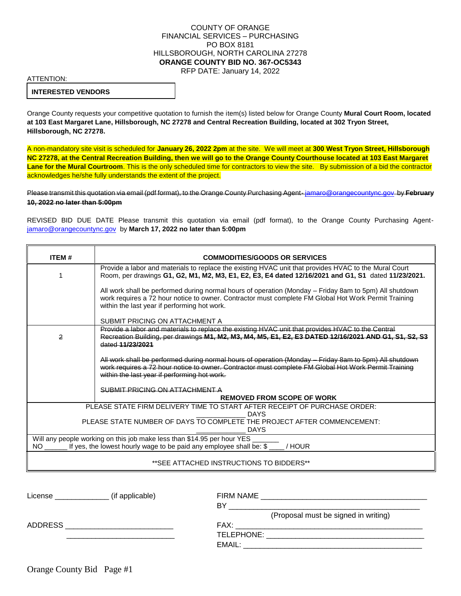### COUNTY OF ORANGE FINANCIAL SERVICES – PURCHASING PO BOX 8181 HILLSBOROUGH, NORTH CAROLINA 27278 **ORANGE COUNTY BID NO. 367-OC5343** RFP DATE: January 14, 2022

ATTENTION:

#### **INTERESTED VENDORS**

Orange County requests your competitive quotation to furnish the item(s) listed below for Orange County **Mural Court Room, located at 103 East Margaret Lane, Hillsborough, NC 27278 and Central Recreation Building, located at 302 Tryon Street, Hillsborough, NC 27278.**

A non-mandatory site visit is scheduled for **January 26, 2022 2pm** at the site. We will meet at **300 West Tryon Street, Hillsborough NC 27278, at the Central Recreation Building, then we will go to the Orange County Courthouse located at 103 East Margaret**  Lane for the Mural Courtroom. This is the only scheduled time for contractors to view the site. By submission of a bid the contractor acknowledges he/she fully understands the extent of the project.

Please transmit this quotation via email (pdf format), to the Orange County Purchasing Agent- [jamaro@orangecountync.gov](mailto:jamaro@orangecountync.gov) by **February 10, 2022 no later than 5:00pm**

REVISED BID DUE DATE Please transmit this quotation via email (pdf format), to the Orange County Purchasing Agent[jamaro@orangecountync.gov](mailto:jamaro@orangecountync.gov) by **March 17, 2022 no later than 5:00pm**

| <b>ITEM#</b>                                                                                                                                                                     | <b>COMMODITIES/GOODS OR SERVICES</b>                                                                                                                                                                                                                           |  |
|----------------------------------------------------------------------------------------------------------------------------------------------------------------------------------|----------------------------------------------------------------------------------------------------------------------------------------------------------------------------------------------------------------------------------------------------------------|--|
|                                                                                                                                                                                  | Provide a labor and materials to replace the existing HVAC unit that provides HVAC to the Mural Court<br>Room, per drawings G1, G2, M1, M2, M3, E1, E2, E3, E4 dated 12/16/2021 and G1, S1 dated 11/23/2021.                                                   |  |
|                                                                                                                                                                                  | All work shall be performed during normal hours of operation (Monday - Friday 8am to 5pm) All shutdown<br>work requires a 72 hour notice to owner. Contractor must complete FM Global Hot Work Permit Training<br>within the last year if performing hot work. |  |
|                                                                                                                                                                                  | SUBMIT PRICING ON ATTACHMENT A                                                                                                                                                                                                                                 |  |
| 2                                                                                                                                                                                | Provide a labor and materials to replace the existing HVAC unit that provides HVAC to the Central<br>Recreation Building, per drawings M1, M2, M3, M4, M5, E1, E2, E3 DATED 12/16/2021 AND G1, S1, S2, S3<br>dated 11/23/2021                                  |  |
|                                                                                                                                                                                  | All work shall be performed during normal hours of operation (Monday - Friday 8am to 5pm) All shutdown<br>work requires a 72 hour notice to owner. Contractor must complete FM Global Hot Work Permit Training<br>within the last year if performing hot work. |  |
|                                                                                                                                                                                  | SUBMIT PRICING ON ATTACHMENT A                                                                                                                                                                                                                                 |  |
|                                                                                                                                                                                  | <b>REMOVED FROM SCOPE OF WORK</b>                                                                                                                                                                                                                              |  |
| PLEASE STATE FIRM DELIVERY TIME TO START AFTER RECEIPT OF PURCHASE ORDER:                                                                                                        |                                                                                                                                                                                                                                                                |  |
| <b>DAYS</b><br>PLEASE STATE NUMBER OF DAYS TO COMPLETE THE PROJECT AFTER COMMENCEMENT:<br><b>DAYS</b>                                                                            |                                                                                                                                                                                                                                                                |  |
| Will any people working on this job make less than \$14.95 per hour YES<br>If yes, the lowest hourly wage to be paid any employee shall be: \$<br>$NO$ <sub>-----</sub><br>/HOUR |                                                                                                                                                                                                                                                                |  |
| **SEE ATTACHED INSTRUCTIONS TO BIDDERS**                                                                                                                                         |                                                                                                                                                                                                                                                                |  |

| License | (if applicable) |                                      |
|---------|-----------------|--------------------------------------|
|         |                 | BY                                   |
|         |                 | (Proposal must be signed in writing) |
| ADDRESS |                 | FAX:                                 |
|         |                 |                                      |
|         |                 |                                      |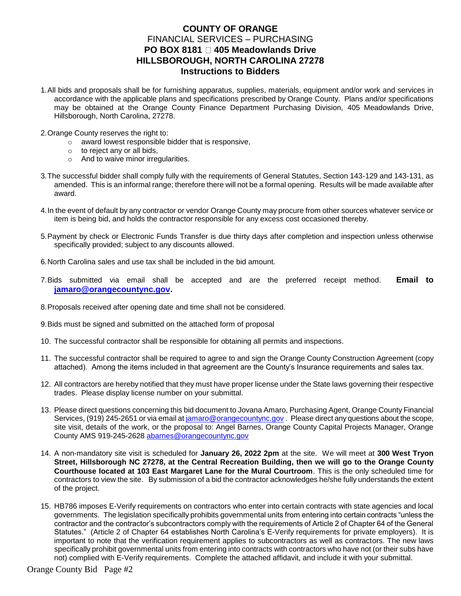# **COUNTY OF ORANGE** FINANCIAL SERVICES – PURCHASING **PO BOX 8181 2405 Meadowlands Drive HILLSBOROUGH, NORTH CAROLINA 27278 Instructions to Bidders**

- 1.All bids and proposals shall be for furnishing apparatus, supplies, materials, equipment and/or work and services in accordance with the applicable plans and specifications prescribed by Orange County. Plans and/or specifications may be obtained at the Orange County Finance Department Purchasing Division, 405 Meadowlands Drive, Hillsborough, North Carolina, 27278.
- 2.Orange County reserves the right to:
	- o award lowest responsible bidder that is responsive,
	- $\circ$  to reject any or all bids,
	- o And to waive minor irregularities.
- 3.The successful bidder shall comply fully with the requirements of General Statutes, Section 143-129 and 143-131, as amended. This is an informal range; therefore there will not be a formal opening. Results will be made available after award.
- 4.In the event of default by any contractor or vendor Orange County may procure from other sources whatever service or item is being bid, and holds the contractor responsible for any excess cost occasioned thereby.
- 5.Payment by check or Electronic Funds Transfer is due thirty days after completion and inspection unless otherwise specifically provided; subject to any discounts allowed.
- 6.North Carolina sales and use tax shall be included in the bid amount.
- 7.Bids submitted via email shall be accepted and are the preferred receipt method. **Email to [jamaro@orangecountync.gov.](mailto:jamaro@orangecountync.gov)**
- 8.Proposals received after opening date and time shall not be considered.
- 9.Bids must be signed and submitted on the attached form of proposal
- 10. The successful contractor shall be responsible for obtaining all permits and inspections.
- 11. The successful contractor shall be required to agree to and sign the Orange County Construction Agreement (copy attached). Among the items included in that agreement are the County's Insurance requirements and sales tax.
- 12. All contractors are hereby notified that they must have proper license under the State laws governing their respective trades. Please display license number on your submittal.
- 13. Please direct questions concerning this bid document to Jovana Amaro, Purchasing Agent, Orange County Financial Services, (919) 245-2651 or via email at [jamaro@orangecountync.gov](mailto:jamaro@orangecountync.gov) . Please direct any questions about the scope, site visit, details of the work, or the proposal to: Angel Barnes, Orange County Capital Projects Manager, Orange County AMS 919-245-2628 [abarnes@orangecountync.gov](mailto:abarnes@orangecountync.gov)
- 14. A non-mandatory site visit is scheduled for **January 26, 2022 2pm** at the site. We will meet at **300 West Tryon Street, Hillsborough NC 27278, at the Central Recreation Building, then we will go to the Orange County Courthouse located at 103 East Margaret Lane for the Mural Courtroom**. This is the only scheduled time for contractors to view the site. By submission of a bid the contractor acknowledges he/she fully understands the extent of the project.
- 15. [HB786](http://www.ncleg.net/Sessions/2013/Bills/House/HTML/H786v5.html) imposes E-Verify requirements on contractors who enter into certain contracts with state agencies and local governments. The legislation specifically prohibits governmental units from entering into certain contracts "unless the contractor and the contractor's subcontractors comply with the requirements of Article 2 of Chapter 64 of the General Statutes." [\(Article 2 of Chapter 64](http://www.ncleg.net/EnactedLegislation/Statutes/HTML/ByArticle/Chapter_64/Article_2.html) establishes North Carolina's E-Verify requirements for private employers). It is important to note that the verification requirement applies to subcontractors as well as contractors. The new laws specifically prohibit governmental units from entering into contracts with contractors who have not (or their subs have not) complied with E-Verify requirements. Complete the attached affidavit, and include it with your submittal.